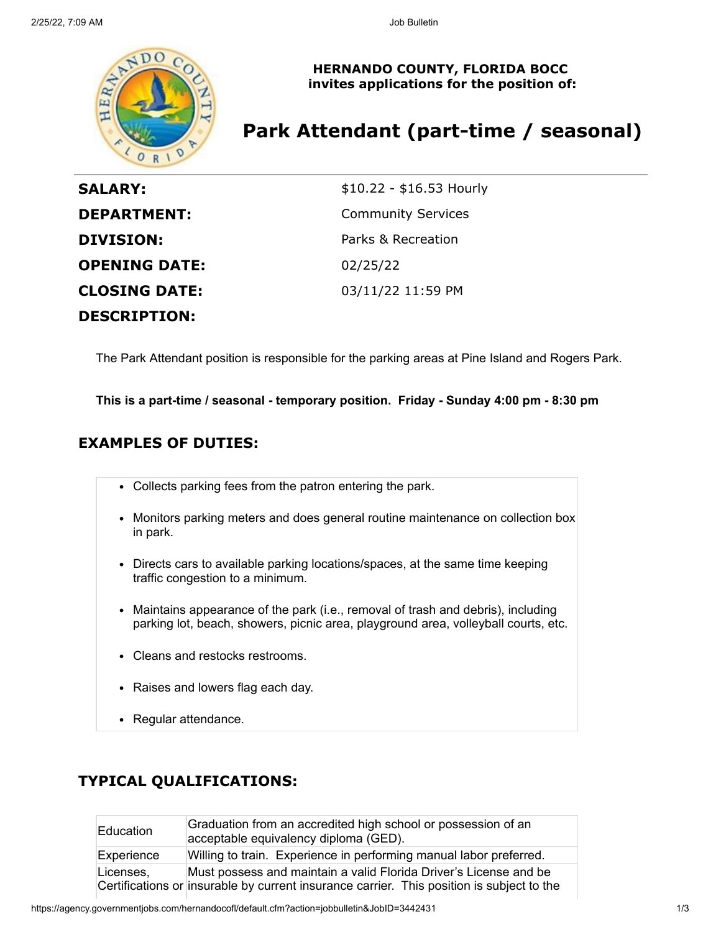

**HERNANDO COUNTY, FLORIDA BOCC invites applications for the position of:**

# **Park Attendant (part-time / seasonal)**

| <b>SALARY:</b>       | \$10.22 - \$16.53 Hourly  |
|----------------------|---------------------------|
| <b>DEPARTMENT:</b>   | <b>Community Services</b> |
| <b>DIVISION:</b>     | Parks & Recreation        |
| <b>OPENING DATE:</b> | 02/25/22                  |
| <b>CLOSING DATE:</b> | 03/11/22 11:59 PM         |
| <b>DESCRIPTION:</b>  |                           |

The Park Attendant position is responsible for the parking areas at Pine Island and Rogers Park.

**This is a part-time / seasonal - temporary position. Friday - Sunday 4:00 pm - 8:30 pm**

## **EXAMPLES OF DUTIES:**

- Collects parking fees from the patron entering the park.
- Monitors parking meters and does general routine maintenance on collection box in park.
- Directs cars to available parking locations/spaces, at the same time keeping traffic congestion to a minimum.
- Maintains appearance of the park (i.e., removal of trash and debris), including parking lot, beach, showers, picnic area, playground area, volleyball courts, etc.
- Cleans and restocks restrooms.
- Raises and lowers flag each day.
- Regular attendance.

## **TYPICAL QUALIFICATIONS:**

| <b>Education</b> | Graduation from an accredited high school or possession of an<br>acceptable equivalency diploma (GED).                                                         |
|------------------|----------------------------------------------------------------------------------------------------------------------------------------------------------------|
| Experience       | Willing to train. Experience in performing manual labor preferred.                                                                                             |
| Licenses,        | Must possess and maintain a valid Florida Driver's License and be<br>Certifications or insurable by current insurance carrier. This position is subject to the |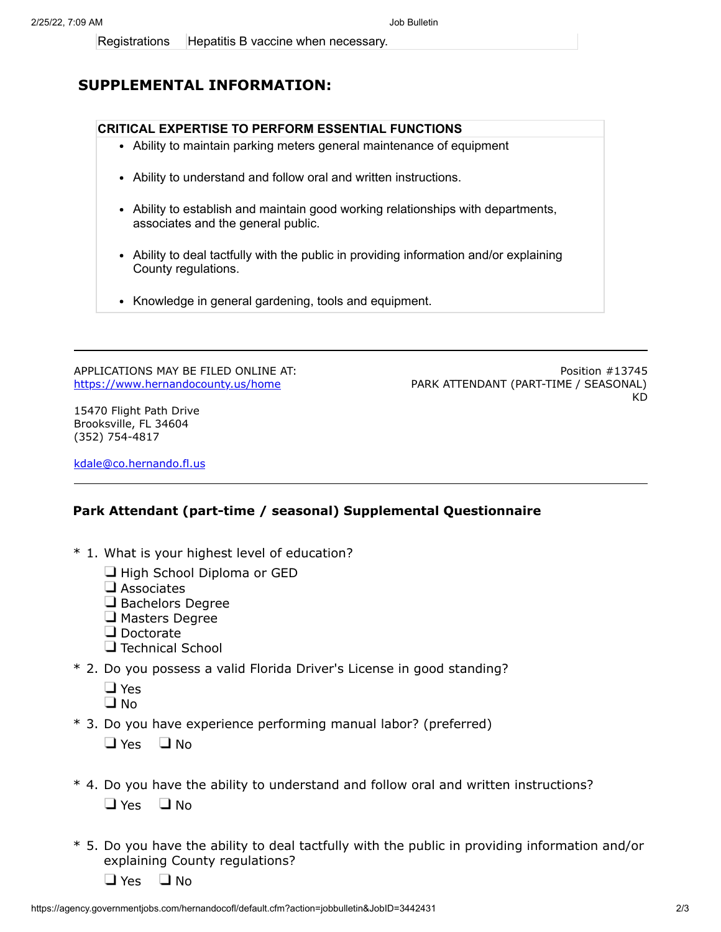## **SUPPLEMENTAL INFORMATION:**

### **CRITICAL EXPERTISE TO PERFORM ESSENTIAL FUNCTIONS**

- Ability to maintain parking meters general maintenance of equipment
- Ability to understand and follow oral and written instructions.
- Ability to establish and maintain good working relationships with departments, associates and the general public.
- Ability to deal tactfully with the public in providing information and/or explaining County regulations.
- Knowledge in general gardening, tools and equipment.

APPLICATIONS MAY BE FILED ONLINE AT: <https://www.hernandocounty.us/home>

Position #13745 PARK ATTENDANT (PART-TIME / SEASONAL) KD

15470 Flight Path Drive Brooksville, FL 34604 (352) 754-4817

[kdale@co.hernando.fl.us](mailto:kdale@co.hernando.fl.us)

#### **Park Attendant (part-time / seasonal) Supplemental Questionnaire**

- \* 1. What is your highest level of education?
	- $\Box$  High School Diploma or GED
	- $\Box$  Associates
	- $\Box$  Bachelors Degree
	- $\Box$  Masters Degree
	- Doctorate
	- $\Box$  Technical School
- \* 2. Do you possess a valid Florida Driver's License in good standing?
	- □ Yes
	- $\square$  No
- \* 3. Do you have experience performing manual labor? (preferred)

 $\Box$  Yes  $\Box$  No

- \* 4. Do you have the ability to understand and follow oral and written instructions?  $\Box$  Yes  $\Box$  No
- \* 5. Do you have the ability to deal tactfully with the public in providing information and/or explaining County regulations?
	- $\Box$  Yes  $\Box$  No